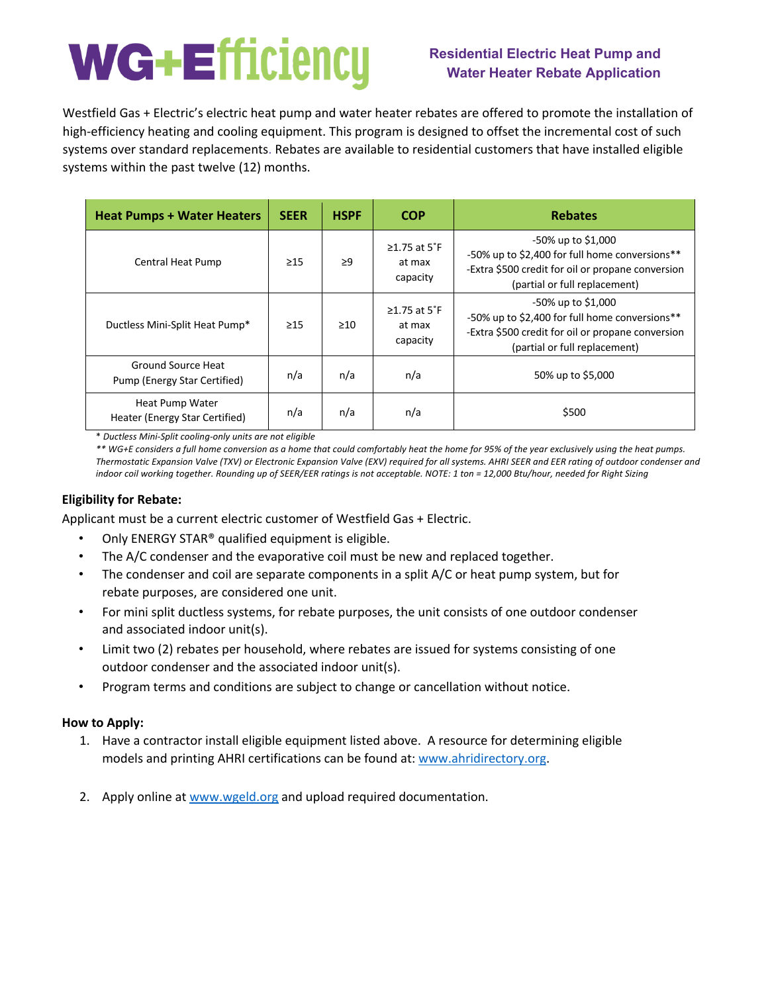# **Residential Electric Heat Pump and Water Heater Rebate Application**

Westfield Gas + Electric's electric heat pump and water heater rebates are offered to promote the installation of high-efficiency heating and cooling equipment. This program is designed to offset the incremental cost of such systems over standard replacements. Rebates are available to residential customers that have installed eligible systems within the past twelve (12) months.

| <b>Heat Pumps + Water Heaters</b>                  | <b>SEER</b> | <b>HSPF</b><br><b>COP</b> |                                          | <b>Rebates</b>                                                                                                                                             |  |  |  |
|----------------------------------------------------|-------------|---------------------------|------------------------------------------|------------------------------------------------------------------------------------------------------------------------------------------------------------|--|--|--|
| Central Heat Pump                                  | $\geq$ 15   | $\geq$ 9                  | $\geq$ 1.75 at 5°F<br>at max<br>capacity | -50% up to \$1,000<br>-50% up to \$2,400 for full home conversions**<br>-Extra \$500 credit for oil or propane conversion<br>(partial or full replacement) |  |  |  |
| Ductless Mini-Split Heat Pump*                     | $\geq$ 15   | $\geq 10$                 | $\geq$ 1.75 at 5°F<br>at max<br>capacity | -50% up to \$1,000<br>-50% up to \$2,400 for full home conversions**<br>-Extra \$500 credit for oil or propane conversion<br>(partial or full replacement) |  |  |  |
| Ground Source Heat<br>Pump (Energy Star Certified) | n/a         | n/a                       | n/a                                      | 50% up to \$5,000                                                                                                                                          |  |  |  |
| Heat Pump Water<br>Heater (Energy Star Certified)  | n/a         | n/a                       | n/a                                      | \$500                                                                                                                                                      |  |  |  |

\* *Ductless Mini-Split cooling-only units are not eligible* 

*\*\* WG+E considers a full home conversion as a home that could comfortably heat the home for 95% of the year exclusively using the heat pumps. Thermostatic Expansion Valve (TXV) or Electronic Expansion Valve (EXV) required for all systems. AHRI SEER and EER rating of outdoor condenser and indoor coil working together. Rounding up of SEER/EER ratings is not acceptable. NOTE: 1 ton = 12,000 Btu/hour, needed for Right Sizing* 

# **Eligibility for Rebate:**

Applicant must be a current electric customer of Westfield Gas + Electric.

- Only ENERGY STAR® qualified equipment is eligible.
- The A/C condenser and the evaporative coil must be new and replaced together.
- The condenser and coil are separate components in a split A/C or heat pump system, but for rebate purposes, are considered one unit.
- For mini split ductless systems, for rebate purposes, the unit consists of one outdoor condenser and associated indoor unit(s).
- Limit two (2) rebates per household, where rebates are issued for systems consisting of one outdoor condenser and the associated indoor unit(s).
- Program terms and conditions are subject to change or cancellation without notice.

# **How to Apply:**

- 1. Have a contractor install eligible equipment listed above. A resource for determining eligible models and printing AHRI certifications can be found at: www.ahridirectory.org.
- 2. Apply online at www.wgeld.org and upload required documentation.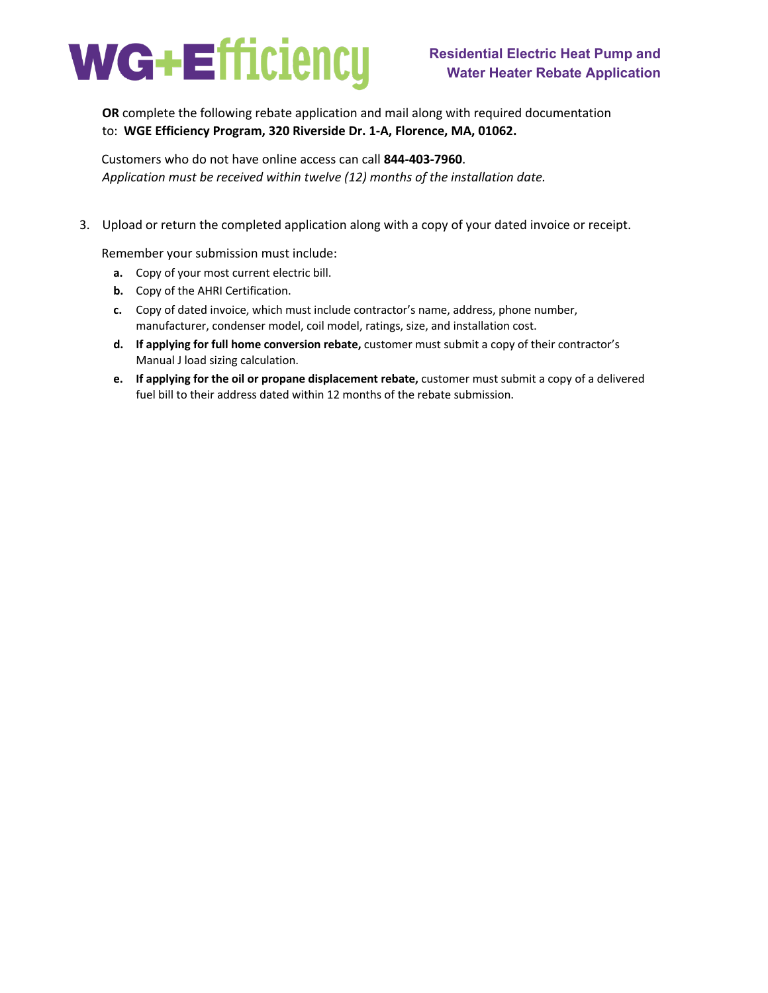

**OR** complete the following rebate application and mail along with required documentation to: **WGE Efficiency Program, 320 Riverside Dr. 1-A, Florence, MA, 01062.** 

Customers who do not have online access can call **844-403-7960**. *Application must be received within twelve (12) months of the installation date.* 

3. Upload or return the completed application along with a copy of your dated invoice or receipt.

Remember your submission must include:

- **a.** Copy of your most current electric bill.
- **b.** Copy of the AHRI Certification.
- **c.** Copy of dated invoice, which must include contractor's name, address, phone number, manufacturer, condenser model, coil model, ratings, size, and installation cost.
- **d. If applying for full home conversion rebate,** customer must submit a copy of their contractor's Manual J load sizing calculation.
- **e. If applying for the oil or propane displacement rebate,** customer must submit a copy of a delivered fuel bill to their address dated within 12 months of the rebate submission.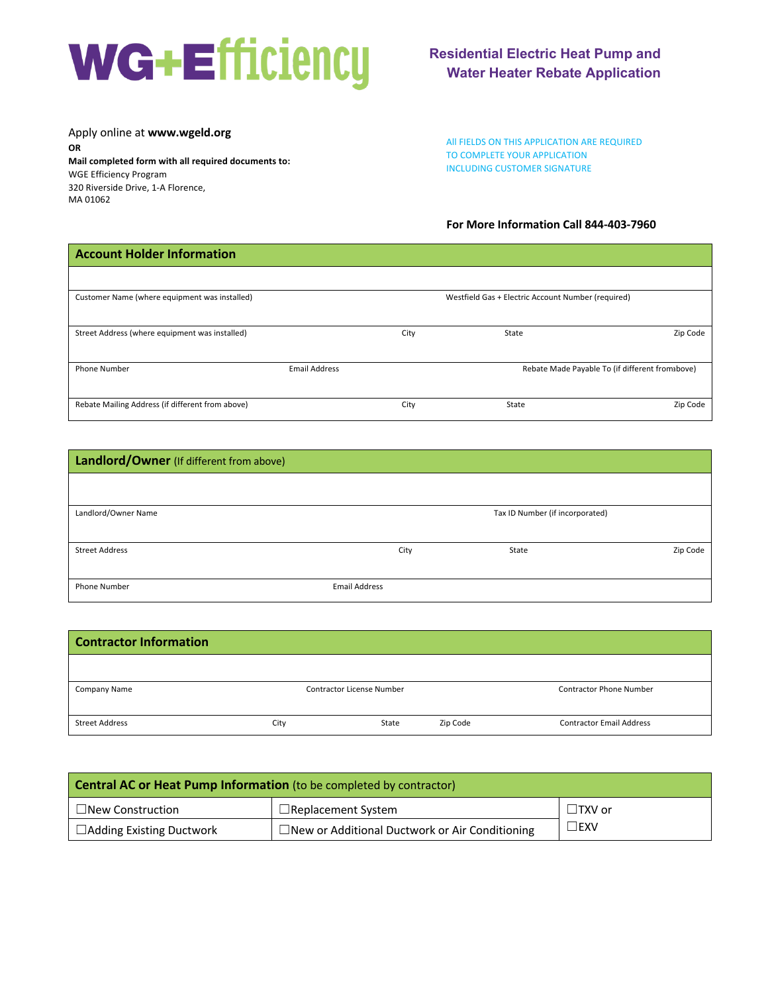Apply online at **www.wgeld.org OR Mail completed form with all required documents to:**  WGE Efficiency Program 320 Riverside Drive, 1-A Florence, MA 01062

# **Residential Electric Heat Pump and Water Heater Rebate Application**

All FIELDS ON THIS APPLICATION ARE REQUIRED TO COMPLETE YOUR APPLICATION INCLUDING CUSTOMER SIGNATURE

# **For More Information Call 844-403-7960**

| <b>Account Holder Information</b>                |                      |      |                                                    |                                                 |
|--------------------------------------------------|----------------------|------|----------------------------------------------------|-------------------------------------------------|
|                                                  |                      |      |                                                    |                                                 |
| Customer Name (where equipment was installed)    |                      |      | Westfield Gas + Electric Account Number (required) |                                                 |
| Street Address (where equipment was installed)   |                      | City | State                                              | Zip Code                                        |
| <b>Phone Number</b>                              | <b>Email Address</b> |      |                                                    | Rebate Made Payable To (if different fromabove) |
| Rebate Mailing Address (if different from above) |                      | City | State                                              | Zip Code                                        |

| Landlord/Owner (If different from above) |                      |                                 |          |  |  |  |
|------------------------------------------|----------------------|---------------------------------|----------|--|--|--|
|                                          |                      |                                 |          |  |  |  |
| Landlord/Owner Name                      |                      | Tax ID Number (if incorporated) |          |  |  |  |
| <b>Street Address</b>                    | City                 | State                           | Zip Code |  |  |  |
|                                          |                      |                                 |          |  |  |  |
| Phone Number                             | <b>Email Address</b> |                                 |          |  |  |  |

| <b>Contractor Information</b> |                                  |       |          |                                 |  |  |  |
|-------------------------------|----------------------------------|-------|----------|---------------------------------|--|--|--|
|                               |                                  |       |          |                                 |  |  |  |
| Company Name                  | <b>Contractor License Number</b> |       |          | <b>Contractor Phone Number</b>  |  |  |  |
| <b>Street Address</b>         | City                             | State | Zip Code | <b>Contractor Email Address</b> |  |  |  |

| <b>Central AC or Heat Pump Information</b> (to be completed by contractor) |                           |               |  |  |  |  |
|----------------------------------------------------------------------------|---------------------------|---------------|--|--|--|--|
| $\Box$ New Construction                                                    | $\Box$ Replacement System | $\Box$ TXV or |  |  |  |  |
| $\Box$ Adding Existing Ductwork                                            | ∃EXV                      |               |  |  |  |  |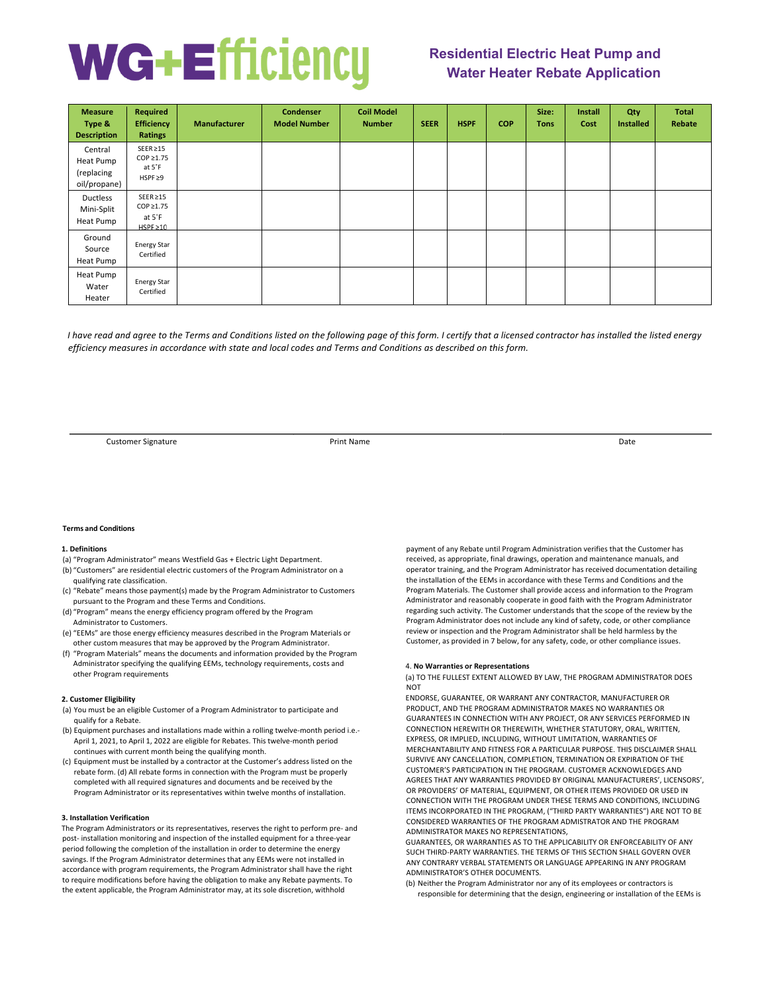# **Residential Electric Heat Pump and Water Heater Rebate Application**

| <b>Measure</b><br>Type &<br><b>Description</b>     | <b>Required</b><br><b>Efficiency</b><br><b>Ratings</b>      | <b>Manufacturer</b> | Condenser<br><b>Model Number</b> | <b>Coil Model</b><br><b>Number</b> | <b>SEER</b> | <b>HSPF</b> | <b>COP</b> | Size:<br><b>Tons</b> | Install<br>Cost | Qty<br><b>Installed</b> | <b>Total</b><br>Rebate |
|----------------------------------------------------|-------------------------------------------------------------|---------------------|----------------------------------|------------------------------------|-------------|-------------|------------|----------------------|-----------------|-------------------------|------------------------|
| Central<br>Heat Pump<br>(replacing<br>oil/propane) | $SEER \ge 15$<br>$COP \geq 1.75$<br>at 5°F<br>$HSPF \geq 9$ |                     |                                  |                                    |             |             |            |                      |                 |                         |                        |
| Ductless<br>Mini-Split<br>Heat Pump                | $SEER \ge 15$<br>COP ≥1.75<br>at $5^{\circ}$ F<br>HSPF≥10   |                     |                                  |                                    |             |             |            |                      |                 |                         |                        |
| Ground<br>Source<br>Heat Pump                      | <b>Energy Star</b><br>Certified                             |                     |                                  |                                    |             |             |            |                      |                 |                         |                        |
| Heat Pump<br>Water<br>Heater                       | <b>Energy Star</b><br>Certified                             |                     |                                  |                                    |             |             |            |                      |                 |                         |                        |

*I have read and agree to the Terms and Conditions listed on the following page of this form. I certify that a licensed contractor has installed the listed energy efficiency measures in accordance with state and local codes and Terms and Conditions as described on this form.*

Customer Signature **Customer Signature Print Name** Print Name **Print Name Date Customer Signature Date** 

### **Terms and Conditions**

## **1. Definitions**

- (a) "Program Administrator" means Westfield Gas + Electric Light Department.
- (b) "Customers" are residential electric customers of the Program Administrator on a qualifying rate classification.
- (c) "Rebate" means those payment(s) made by the Program Administrator to Customers pursuant to the Program and these Terms and Conditions.
- (d) "Program" means the energy efficiency program offered by the Program Administrator to Customers.
- (e) "EEMs" are those energy efficiency measures described in the Program Materials or other custom measures that may be approved by the Program Administrator.
- (f) "Program Materials" means the documents and information provided by the Program Administrator specifying the qualifying EEMs, technology requirements, costs and other Program requirements

# **2. Customer Eligibility**

- (a) You must be an eligible Customer of a Program Administrator to participate and qualify for a Rebate.
- (b) Equipment purchases and installations made within a rolling twelve-month period i.e.- April 1, 2021, to April 1, 2022 are eligible for Rebates. This twelve-month period continues with current month being the qualifying month.
- (c) Equipment must be installed by a contractor at the Customer's address listed on the rebate form. (d) All rebate forms in connection with the Program must be properly completed with all required signatures and documents and be received by the Program Administrator or its representatives within twelve months of installation.

### **3. Installation Verification**

The Program Administrators or its representatives, reserves the right to perform pre- and post- installation monitoring and inspection of the installed equipment for a three-year period following the completion of the installation in order to determine the energy savings. If the Program Administrator determines that any EEMs were not installed in accordance with program requirements, the Program Administrator shall have the right to require modifications before having the obligation to make any Rebate payments. To the extent applicable, the Program Administrator may, at its sole discretion, withhold

payment of any Rebate until Program Administration verifies that the Customer has received, as appropriate, final drawings, operation and maintenance manuals, and operator training, and the Program Administrator has received documentation detailing the installation of the EEMs in accordance with these Terms and Conditions and the Program Materials. The Customer shall provide access and information to the Program Administrator and reasonably cooperate in good faith with the Program Administrator regarding such activity. The Customer understands that the scope of the review by the Program Administrator does not include any kind of safety, code, or other compliance review or inspection and the Program Administrator shall be held harmless by the Customer, as provided in 7 below, for any safety, code, or other compliance issues.

#### 4. **No Warranties or Representations**

(a) TO THE FULLEST EXTENT ALLOWED BY LAW, THE PROGRAM ADMINISTRATOR DOES **NOT** 

ENDORSE, GUARANTEE, OR WARRANT ANY CONTRACTOR, MANUFACTURER OR PRODUCT, AND THE PROGRAM ADMINISTRATOR MAKES NO WARRANTIES OR GUARANTEES IN CONNECTION WITH ANY PROJECT, OR ANY SERVICES PERFORMED IN CONNECTION HEREWITH OR THEREWITH, WHETHER STATUTORY, ORAL, WRITTEN, EXPRESS, OR IMPLIED, INCLUDING, WITHOUT LIMITATION, WARRANTIES OF MERCHANTABILITY AND FITNESS FOR A PARTICULAR PURPOSE. THIS DISCLAIMER SHALL SURVIVE ANY CANCELLATION, COMPLETION, TERMINATION OR EXPIRATION OF THE CUSTOMER'S PARTICIPATION IN THE PROGRAM. CUSTOMER ACKNOWLEDGES AND AGREES THAT ANY WARRANTIES PROVIDED BY ORIGINAL MANUFACTURERS', LICENSORS', OR PROVIDERS' OF MATERIAL, EQUIPMENT, OR OTHER ITEMS PROVIDED OR USED IN CONNECTION WITH THE PROGRAM UNDER THESE TERMS AND CONDITIONS, INCLUDING ITEMS INCORPORATED IN THE PROGRAM, ("THIRD PARTY WARRANTIES") ARE NOT TO BE CONSIDERED WARRANTIES OF THE PROGRAM ADMISTRATOR AND THE PROGRAM ADMINISTRATOR MAKES NO REPRESENTATIONS,

GUARANTEES, OR WARRANTIES AS TO THE APPLICABILITY OR ENFORCEABILITY OF ANY SUCH THIRD-PARTY WARRANTIES. THE TERMS OF THIS SECTION SHALL GOVERN OVER ANY CONTRARY VERBAL STATEMENTS OR LANGUAGE APPEARING IN ANY PROGRAM ADMINISTRATOR'S OTHER DOCUMENTS.

(b) Neither the Program Administrator nor any of its employees or contractors is responsible for determining that the design, engineering or installation of the EEMs is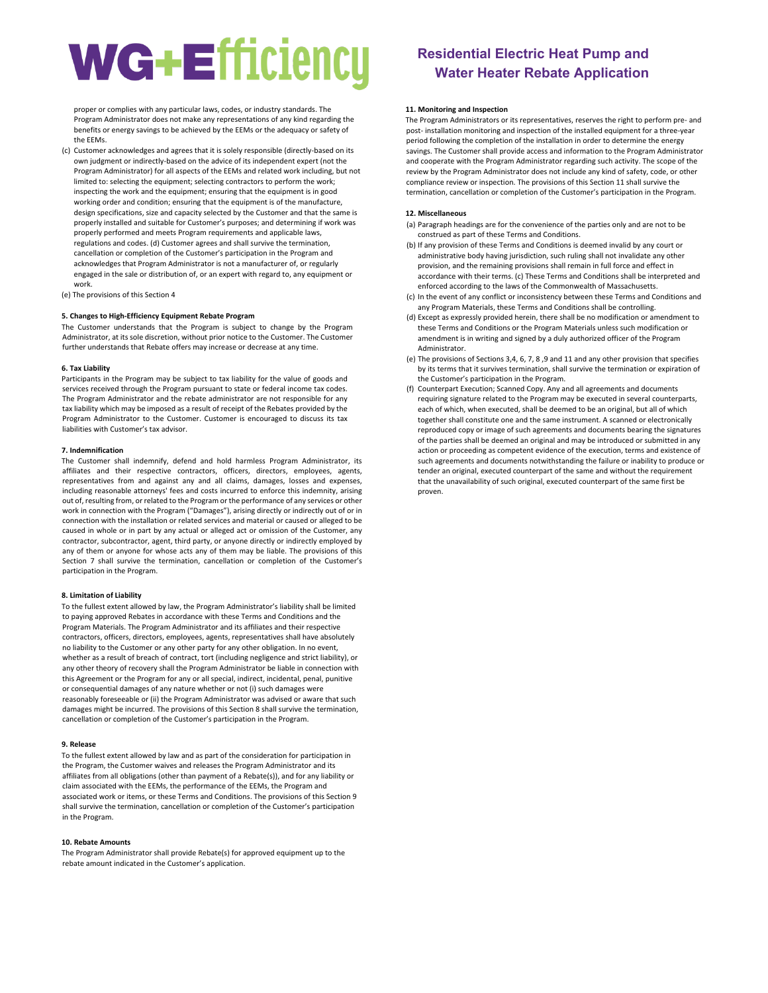proper or complies with any particular laws, codes, or industry standards. The Program Administrator does not make any representations of any kind regarding the benefits or energy savings to be achieved by the EEMs or the adequacy or safety of the EEMs.

(c) Customer acknowledges and agrees that it is solely responsible (directly-based on its own judgment or indirectly-based on the advice of its independent expert (not the Program Administrator) for all aspects of the EEMs and related work including, but not limited to: selecting the equipment; selecting contractors to perform the work; inspecting the work and the equipment; ensuring that the equipment is in good working order and condition; ensuring that the equipment is of the manufacture, design specifications, size and capacity selected by the Customer and that the same is properly installed and suitable for Customer's purposes; and determining if work was properly performed and meets Program requirements and applicable laws, regulations and codes. (d) Customer agrees and shall survive the termination, cancellation or completion of the Customer's participation in the Program and acknowledges that Program Administrator is not a manufacturer of, or regularly engaged in the sale or distribution of, or an expert with regard to, any equipment or work.

(e) The provisions of this Section 4

# **5. Changes to High-Efficiency Equipment Rebate Program**

The Customer understands that the Program is subject to change by the Program Administrator, at its sole discretion, without prior notice to the Customer. The Customer further understands that Rebate offers may increase or decrease at any time.

## **6. Tax Liability**

Participants in the Program may be subject to tax liability for the value of goods and services received through the Program pursuant to state or federal income tax codes. The Program Administrator and the rebate administrator are not responsible for any tax liability which may be imposed as a result of receipt of the Rebates provided by the Program Administrator to the Customer. Customer is encouraged to discuss its tax liabilities with Customer's tax advisor.

## **7. Indemnification**

The Customer shall indemnify, defend and hold harmless Program Administrator, its affiliates and their respective contractors, officers, directors, employees, agents, representatives from and against any and all claims, damages, losses and expenses, including reasonable attorneys' fees and costs incurred to enforce this indemnity, arising out of, resulting from, or related to the Program or the performance of any services or other work in connection with the Program ("Damages"), arising directly or indirectly out of or in connection with the installation or related services and material or caused or alleged to be caused in whole or in part by any actual or alleged act or omission of the Customer, any contractor, subcontractor, agent, third party, or anyone directly or indirectly employed by any of them or anyone for whose acts any of them may be liable. The provisions of this Section 7 shall survive the termination, cancellation or completion of the Customer's participation in the Program.

## **8. Limitation of Liability**

To the fullest extent allowed by law, the Program Administrator's liability shall be limited to paying approved Rebates in accordance with these Terms and Conditions and the Program Materials. The Program Administrator and its affiliates and their respective contractors, officers, directors, employees, agents, representatives shall have absolutely no liability to the Customer or any other party for any other obligation. In no event, whether as a result of breach of contract, tort (including negligence and strict liability), or any other theory of recovery shall the Program Administrator be liable in connection with this Agreement or the Program for any or all special, indirect, incidental, penal, punitive or consequential damages of any nature whether or not (i) such damages were reasonably foreseeable or (ii) the Program Administrator was advised or aware that such damages might be incurred. The provisions of this Section 8 shall survive the termination, cancellation or completion of the Customer's participation in the Program.

## **9. Release**

To the fullest extent allowed by law and as part of the consideration for participation in the Program, the Customer waives and releases the Program Administrator and its affiliates from all obligations (other than payment of a Rebate(s)), and for any liability or claim associated with the EEMs, the performance of the EEMs, the Program and associated work or items, or these Terms and Conditions. The provisions of this Section 9 shall survive the termination, cancellation or completion of the Customer's participation in the Program.

### **10. Rebate Amounts**

The Program Administrator shall provide Rebate(s) for approved equipment up to the rebate amount indicated in the Customer's application.

# **Residential Electric Heat Pump and Water Heater Rebate Application**

## **11. Monitoring and Inspection**

The Program Administrators or its representatives, reserves the right to perform pre- and post- installation monitoring and inspection of the installed equipment for a three-year period following the completion of the installation in order to determine the energy savings. The Customer shall provide access and information to the Program Administrator and cooperate with the Program Administrator regarding such activity. The scope of the review by the Program Administrator does not include any kind of safety, code, or other compliance review or inspection. The provisions of this Section 11 shall survive the termination, cancellation or completion of the Customer's participation in the Program.

### **12. Miscellaneous**

- (a) Paragraph headings are for the convenience of the parties only and are not to be construed as part of these Terms and Conditions.
- (b) If any provision of these Terms and Conditions is deemed invalid by any court or administrative body having jurisdiction, such ruling shall not invalidate any other provision, and the remaining provisions shall remain in full force and effect in accordance with their terms. (c) These Terms and Conditions shall be interpreted and enforced according to the laws of the Commonwealth of Massachusetts.
- (c) In the event of any conflict or inconsistency between these Terms and Conditions and any Program Materials, these Terms and Conditions shall be controlling.
- (d) Except as expressly provided herein, there shall be no modification or amendment to these Terms and Conditions or the Program Materials unless such modification or amendment is in writing and signed by a duly authorized officer of the Program Administrator.
- (e) The provisions of Sections 3,4, 6, 7, 8 ,9 and 11 and any other provision that specifies by its terms that it survives termination, shall survive the termination or expiration of the Customer's participation in the Program.
- (f) Counterpart Execution; Scanned Copy. Any and all agreements and documents requiring signature related to the Program may be executed in several counterparts, each of which, when executed, shall be deemed to be an original, but all of which together shall constitute one and the same instrument. A scanned or electronically reproduced copy or image of such agreements and documents bearing the signatures of the parties shall be deemed an original and may be introduced or submitted in any action or proceeding as competent evidence of the execution, terms and existence of such agreements and documents notwithstanding the failure or inability to produce or tender an original, executed counterpart of the same and without the requirement that the unavailability of such original, executed counterpart of the same first be proven.